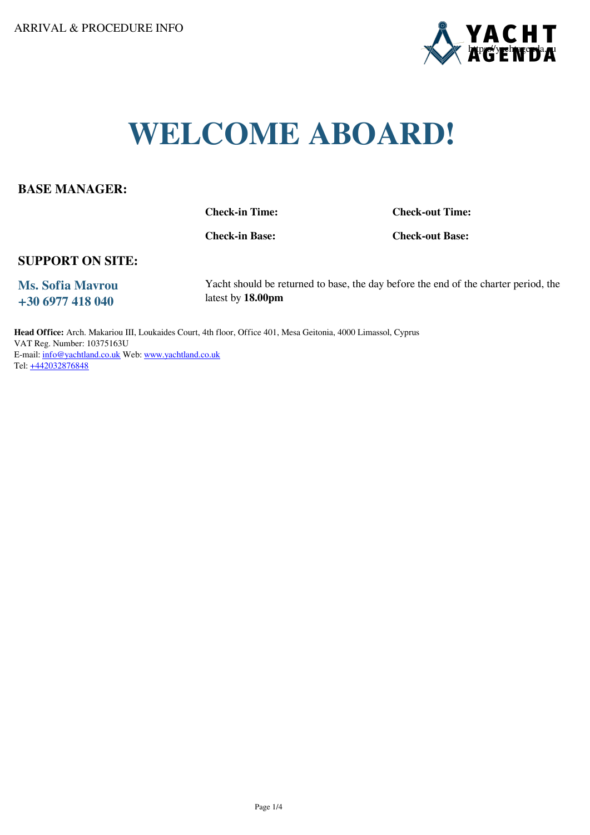

# **WELCOME ABOARD!**

#### **BASE MANAGER:**

**Check-in Time: Check-out Time:**

**Check-in Base: Check-out Base:**

#### **SUPPORT ON SITE:**

**Ms. Sofia Mavrou +30 6977 418 040**

Yacht should be returned to base, the day before the end of the charter period, the latest by **18.00pm**

**Head Office:** Arch. Makariou III, Loukaides Court, 4th floor, Office 401, Mesa Geitonia, 4000 Limassol, Cyprus VAT Reg. Number: 10375163U E-mail: [info@yachtland.co.uk](mailto:info@yachtland.co.uk) Web: www.yachtland.co.uk Tel: +442032876848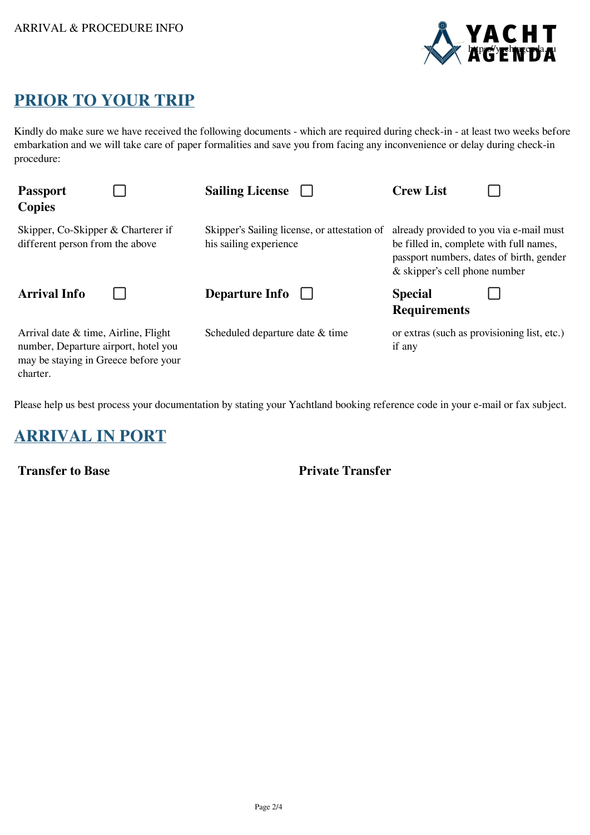

# **PRIOR TO YOUR TRIP**

Kindly do make sure we have received the following documents - which are required during check-in - at least two weeks before embarkation and we will take care of paper formalities and save you from facing any inconvenience or delay during check-in procedure:

| <b>Passport</b><br><b>Copies</b>                                                                                                    | <b>Sailing License</b>                                                 | <b>Crew List</b>                                                                                                                                                |
|-------------------------------------------------------------------------------------------------------------------------------------|------------------------------------------------------------------------|-----------------------------------------------------------------------------------------------------------------------------------------------------------------|
| Skipper, Co-Skipper & Charterer if<br>different person from the above                                                               | Skipper's Sailing license, or attestation of<br>his sailing experience | already provided to you via e-mail must<br>be filled in, complete with full names,<br>passport numbers, dates of birth, gender<br>& skipper's cell phone number |
| <b>Arrival Info</b>                                                                                                                 | Departure Info                                                         | <b>Special</b><br><b>Requirements</b>                                                                                                                           |
| Arrival date $\&$ time, Airline, Flight<br>number, Departure airport, hotel you<br>may be staying in Greece before your<br>charter. | Scheduled departure date & time                                        | or extras (such as provisioning list, etc.)<br>if any                                                                                                           |

Please help us best process your documentation by stating your Yachtland booking reference code in your e-mail or fax subject.

# **ARRIVAL IN PORT**

**Transfer to Base Private Transfer**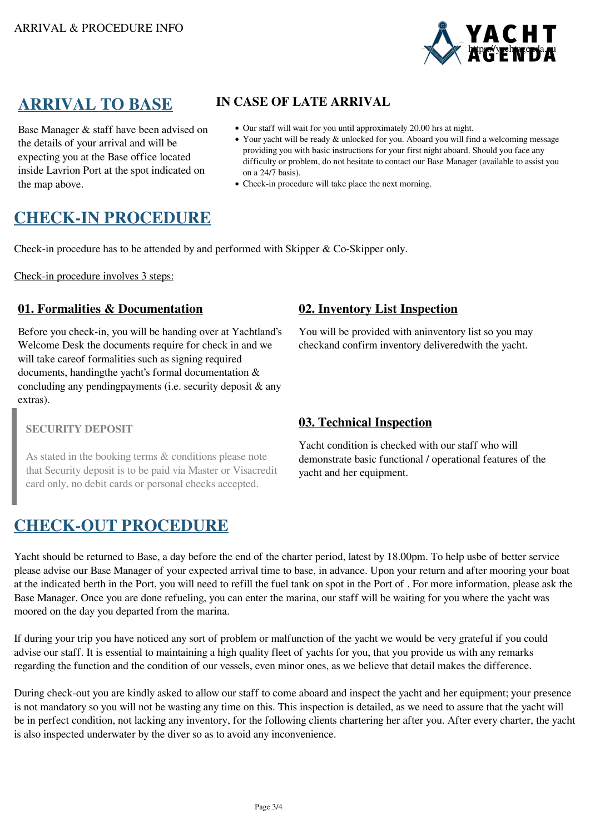

Base Manager & staff have been advised on the details of your arrival and will be expecting you at the Base office located inside Lavrion Port at the spot indicated on the map above.

### **ARRIVAL TO BASE IN CASE OF LATE ARRIVAL**

- Our staff will wait for you until approximately 20.00 hrs at night.
- Your yacht will be ready & unlocked for you. Aboard you will find a welcoming message providing you with basic instructions for your first night aboard. Should you face any difficulty or problem, do not hesitate to contact our Base Manager (available to assist you on a 24/7 basis).
- Check-in procedure will take place the next morning.

# **CHECK-IN PROCEDURE**

Check-in procedure has to be attended by and performed with Skipper & Co-Skipper only.

Check-in procedure involves 3 steps:

#### **01. Formalities & Documentation 02. Inventory List Inspection**

Before you check-in, you will be handing over at Yachtland's Welcome Desk the documents require for check in and we will take careof formalities such as signing required documents, handingthe yacht's formal documentation & concluding any pendingpayments (i.e. security deposit & any extras).

#### **SECURITY DEPOSIT**

As stated in the booking terms & conditions please note that Security deposit is to be paid via Master or Visacredit card only, no debit cards or personal checks accepted.

### **CHECK-OUT PROCEDURE**

You will be provided with aninventory list so you may checkand confirm inventory deliveredwith the yacht.

### **03. Technical Inspection**

Yacht condition is checked with our staff who will demonstrate basic functional / operational features of the yacht and her equipment.

Yacht should be returned to Base, a day before the end of the charter period, latest by 18.00pm. To help usbe of better service please advise our Base Manager of your expected arrival time to base, in advance. Upon your return and after mooring your boat at the indicated berth in the Port, you will need to refill the fuel tank on spot in the Port of . For more information, please ask the Base Manager. Once you are done refueling, you can enter the marina, our staff will be waiting for you where the yacht was moored on the day you departed from the marina.

If during your trip you have noticed any sort of problem or malfunction of the yacht we would be very grateful if you could advise our staff. It is essential to maintaining a high quality fleet of yachts for you, that you provide us with any remarks regarding the function and the condition of our vessels, even minor ones, as we believe that detail makes the difference.

During check-out you are kindly asked to allow our staff to come aboard and inspect the yacht and her equipment; your presence is not mandatory so you will not be wasting any time on this. This inspection is detailed, as we need to assure that the yacht will be in perfect condition, not lacking any inventory, for the following clients chartering her after you. After every charter, the yacht is also inspected underwater by the diver so as to avoid any inconvenience.